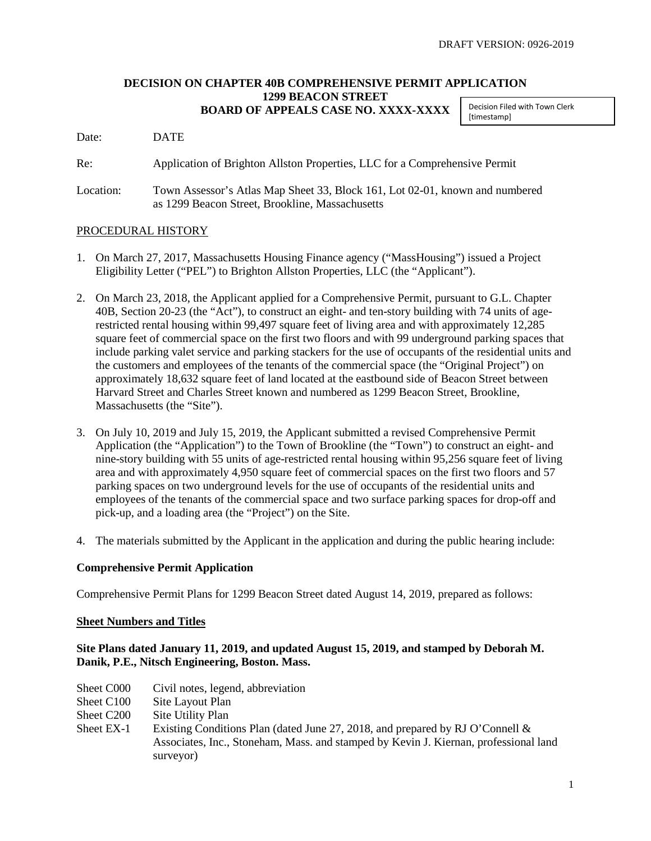### **DECISION ON CHAPTER 40B COMPREHENSIVE PERMIT APPLICATION 1299 BEACON STREET BOARD OF APPEALS CASE NO. XXXX-XXXX**

Decision Filed with Town Clerk [timestamp]

Date: DATE

Re: Application of Brighton Allston Properties, LLC for a Comprehensive Permit

Location: Town Assessor's Atlas Map Sheet 33, Block 161, Lot 02-01, known and numbered as 1299 Beacon Street, Brookline, Massachusetts

## PROCEDURAL HISTORY

- 1. On March 27, 2017, Massachusetts Housing Finance agency ("MassHousing") issued a Project Eligibility Letter ("PEL") to Brighton Allston Properties, LLC (the "Applicant").
- 2. On March 23, 2018, the Applicant applied for a Comprehensive Permit, pursuant to G.L. Chapter 40B, Section 20-23 (the "Act"), to construct an eight- and ten-story building with 74 units of agerestricted rental housing within 99,497 square feet of living area and with approximately 12,285 square feet of commercial space on the first two floors and with 99 underground parking spaces that include parking valet service and parking stackers for the use of occupants of the residential units and the customers and employees of the tenants of the commercial space (the "Original Project") on approximately 18,632 square feet of land located at the eastbound side of Beacon Street between Harvard Street and Charles Street known and numbered as 1299 Beacon Street, Brookline, Massachusetts (the "Site").
- 3. On July 10, 2019 and July 15, 2019, the Applicant submitted a revised Comprehensive Permit Application (the "Application") to the Town of Brookline (the "Town") to construct an eight- and nine-story building with 55 units of age-restricted rental housing within 95,256 square feet of living area and with approximately 4,950 square feet of commercial spaces on the first two floors and 57 parking spaces on two underground levels for the use of occupants of the residential units and employees of the tenants of the commercial space and two surface parking spaces for drop-off and pick-up, and a loading area (the "Project") on the Site.
- 4. The materials submitted by the Applicant in the application and during the public hearing include:

## **Comprehensive Permit Application**

Comprehensive Permit Plans for 1299 Beacon Street dated August 14, 2019, prepared as follows:

#### **Sheet Numbers and Titles**

## **Site Plans dated January 11, 2019, and updated August 15, 2019, and stamped by Deborah M. Danik, P.E., Nitsch Engineering, Boston. Mass.**

- Sheet C000 Civil notes, legend, abbreviation
- Sheet C100 Site Layout Plan
- Sheet C200 Site Utility Plan
- Sheet EX-1 Existing Conditions Plan (dated June 27, 2018, and prepared by RJ O'Connell & Associates, Inc., Stoneham, Mass. and stamped by Kevin J. Kiernan, professional land surveyor)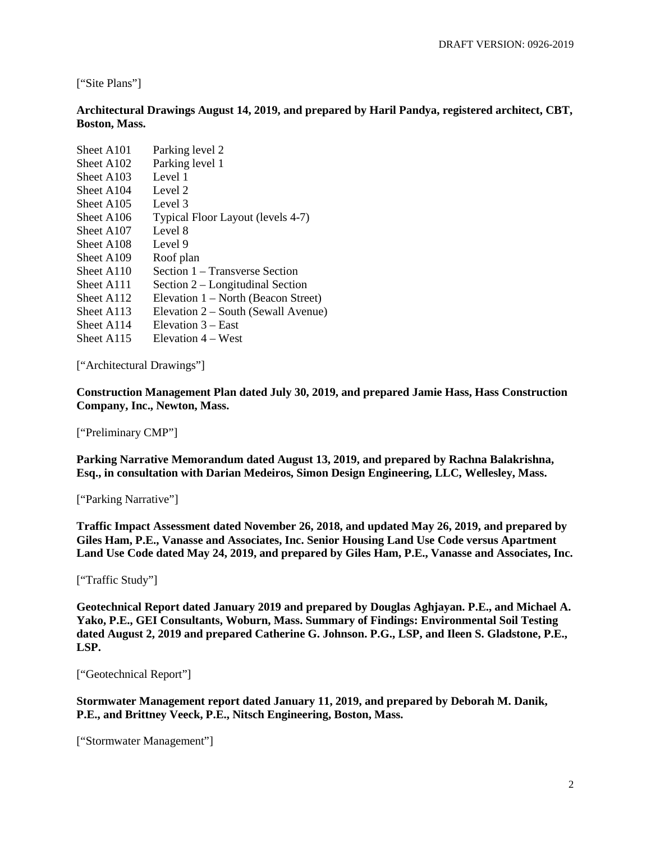["Site Plans"]

**Architectural Drawings August 14, 2019, and prepared by Haril Pandya, registered architect, CBT, Boston, Mass.**

| Sheet A <sub>101</sub> | Parking level 2                     |
|------------------------|-------------------------------------|
| Sheet A <sub>102</sub> | Parking level 1                     |
| Sheet A103             | Level 1                             |
| Sheet A104             | Level 2                             |
| Sheet A <sub>105</sub> | Level 3                             |
| Sheet A106             | Typical Floor Layout (levels 4-7)   |
| Sheet A107             | Level 8                             |
| Sheet A <sub>108</sub> | Level 9                             |
| Sheet A109             | Roof plan                           |
| Sheet A110             | Section 1 – Transverse Section      |
| Sheet A111             | Section 2 – Longitudinal Section    |
| Sheet A112             | Elevation 1 – North (Beacon Street) |
| Sheet A113             | Elevation 2 – South (Sewall Avenue) |
| Sheet A114             | Elevation $3 - East$                |
| Sheet A115             | Elevation 4 – West                  |

["Architectural Drawings"]

**Construction Management Plan dated July 30, 2019, and prepared Jamie Hass, Hass Construction Company, Inc., Newton, Mass.** 

["Preliminary CMP"]

**Parking Narrative Memorandum dated August 13, 2019, and prepared by Rachna Balakrishna, Esq., in consultation with Darian Medeiros, Simon Design Engineering, LLC, Wellesley, Mass.** 

["Parking Narrative"]

**Traffic Impact Assessment dated November 26, 2018, and updated May 26, 2019, and prepared by Giles Ham, P.E., Vanasse and Associates, Inc. Senior Housing Land Use Code versus Apartment Land Use Code dated May 24, 2019, and prepared by Giles Ham, P.E., Vanasse and Associates, Inc.**

["Traffic Study"]

**Geotechnical Report dated January 2019 and prepared by Douglas Aghjayan. P.E., and Michael A. Yako, P.E., GEI Consultants, Woburn, Mass. Summary of Findings: Environmental Soil Testing dated August 2, 2019 and prepared Catherine G. Johnson. P.G., LSP, and Ileen S. Gladstone, P.E., LSP.**

["Geotechnical Report"]

**Stormwater Management report dated January 11, 2019, and prepared by Deborah M. Danik, P.E., and Brittney Veeck, P.E., Nitsch Engineering, Boston, Mass.** 

["Stormwater Management"]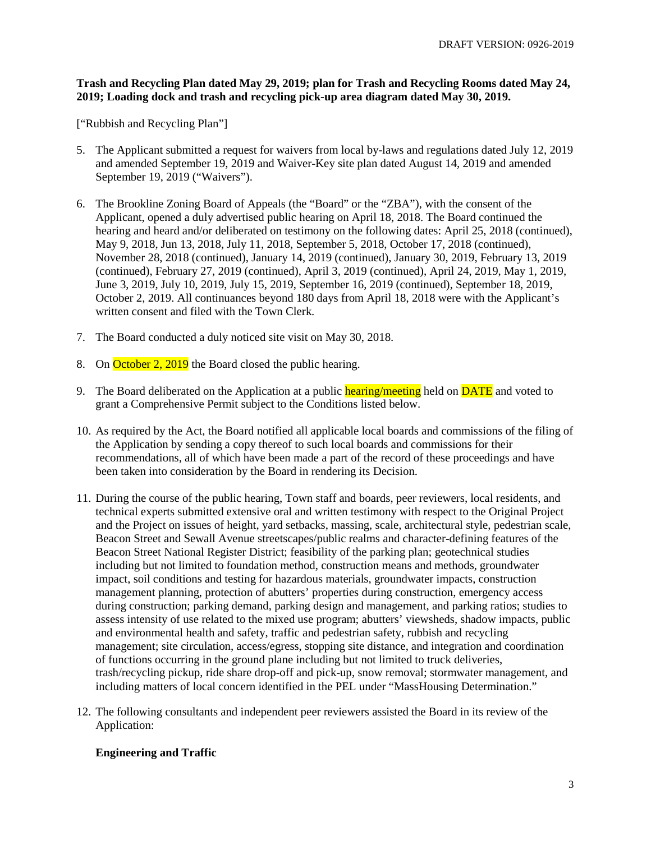## **Trash and Recycling Plan dated May 29, 2019; plan for Trash and Recycling Rooms dated May 24, 2019; Loading dock and trash and recycling pick-up area diagram dated May 30, 2019.**

["Rubbish and Recycling Plan"]

- 5. The Applicant submitted a request for waivers from local by-laws and regulations dated July 12, 2019 and amended September 19, 2019 and Waiver-Key site plan dated August 14, 2019 and amended September 19, 2019 ("Waivers").
- 6. The Brookline Zoning Board of Appeals (the "Board" or the "ZBA"), with the consent of the Applicant, opened a duly advertised public hearing on April 18, 2018. The Board continued the hearing and heard and/or deliberated on testimony on the following dates: April 25, 2018 (continued), May 9, 2018, Jun 13, 2018, July 11, 2018, September 5, 2018, October 17, 2018 (continued), November 28, 2018 (continued), January 14, 2019 (continued), January 30, 2019, February 13, 2019 (continued), February 27, 2019 (continued), April 3, 2019 (continued), April 24, 2019, May 1, 2019, June 3, 2019, July 10, 2019, July 15, 2019, September 16, 2019 (continued), September 18, 2019, October 2, 2019. All continuances beyond 180 days from April 18, 2018 were with the Applicant's written consent and filed with the Town Clerk.
- 7. The Board conducted a duly noticed site visit on May 30, 2018.
- 8. On October 2, 2019 the Board closed the public hearing.
- 9. The Board deliberated on the Application at a public hearing/meeting held on **DATE** and voted to grant a Comprehensive Permit subject to the Conditions listed below.
- 10. As required by the Act, the Board notified all applicable local boards and commissions of the filing of the Application by sending a copy thereof to such local boards and commissions for their recommendations, all of which have been made a part of the record of these proceedings and have been taken into consideration by the Board in rendering its Decision.
- 11. During the course of the public hearing, Town staff and boards, peer reviewers, local residents, and technical experts submitted extensive oral and written testimony with respect to the Original Project and the Project on issues of height, yard setbacks, massing, scale, architectural style, pedestrian scale, Beacon Street and Sewall Avenue streetscapes/public realms and character-defining features of the Beacon Street National Register District; feasibility of the parking plan; geotechnical studies including but not limited to foundation method, construction means and methods, groundwater impact, soil conditions and testing for hazardous materials, groundwater impacts, construction management planning, protection of abutters' properties during construction, emergency access during construction; parking demand, parking design and management, and parking ratios; studies to assess intensity of use related to the mixed use program; abutters' viewsheds, shadow impacts, public and environmental health and safety, traffic and pedestrian safety, rubbish and recycling management; site circulation, access/egress, stopping site distance, and integration and coordination of functions occurring in the ground plane including but not limited to truck deliveries, trash/recycling pickup, ride share drop-off and pick-up, snow removal; stormwater management, and including matters of local concern identified in the PEL under "MassHousing Determination."
- 12. The following consultants and independent peer reviewers assisted the Board in its review of the Application:

# **Engineering and Traffic**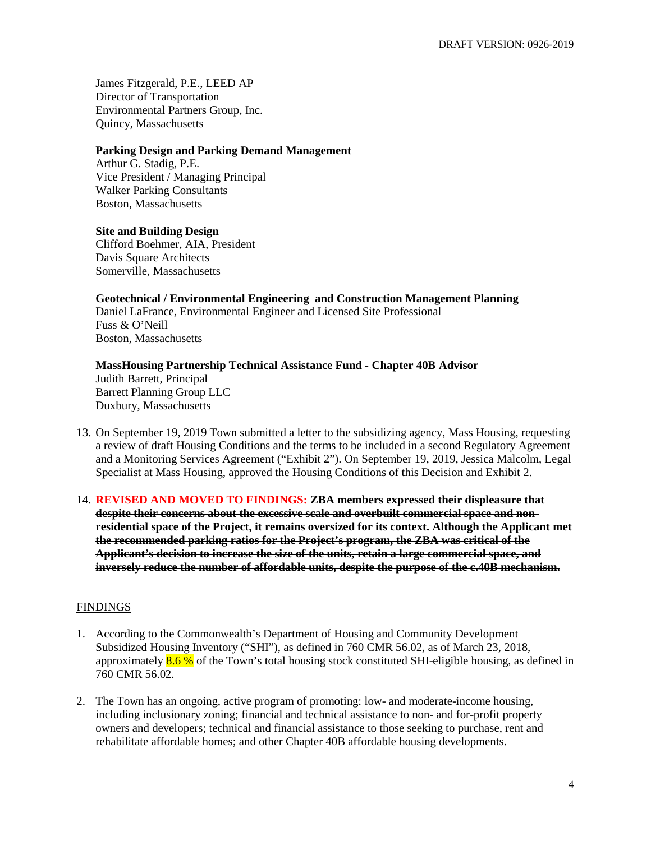James Fitzgerald, P.E., LEED AP Director of Transportation Environmental Partners Group, Inc. Quincy, Massachusetts

#### **Parking Design and Parking Demand Management**

Arthur G. Stadig, P.E. Vice President / Managing Principal Walker Parking Consultants Boston, Massachusetts

#### **Site and Building Design**

Clifford Boehmer, AIA, President Davis Square Architects Somerville, Massachusetts

## **Geotechnical / Environmental Engineering and Construction Management Planning**

Daniel LaFrance, Environmental Engineer and Licensed Site Professional Fuss & O'Neill Boston, Massachusetts

#### **MassHousing Partnership Technical Assistance Fund - Chapter 40B Advisor** Judith Barrett, Principal Barrett Planning Group LLC Duxbury, Massachusetts

- 13. On September 19, 2019 Town submitted a letter to the subsidizing agency, Mass Housing, requesting a review of draft Housing Conditions and the terms to be included in a second Regulatory Agreement and a Monitoring Services Agreement ("Exhibit 2"). On September 19, 2019, Jessica Malcolm, Legal Specialist at Mass Housing, approved the Housing Conditions of this Decision and Exhibit 2.
- 14. **REVISED AND MOVED TO FINDINGS: ZBA members expressed their displeasure that despite their concerns about the excessive scale and overbuilt commercial space and nonresidential space of the Project, it remains oversized for its context. Although the Applicant met the recommended parking ratios for the Project's program, the ZBA was critical of the Applicant's decision to increase the size of the units, retain a large commercial space, and inversely reduce the number of affordable units, despite the purpose of the c.40B mechanism.**

## **FINDINGS**

- 1. According to the Commonwealth's Department of Housing and Community Development Subsidized Housing Inventory ("SHI"), as defined in 760 CMR 56.02, as of March 23, 2018, approximately  $8.6\%$  of the Town's total housing stock constituted SHI-eligible housing, as defined in 760 CMR 56.02.
- 2. The Town has an ongoing, active program of promoting: low- and moderate-income housing, including inclusionary zoning; financial and technical assistance to non- and for-profit property owners and developers; technical and financial assistance to those seeking to purchase, rent and rehabilitate affordable homes; and other Chapter 40B affordable housing developments.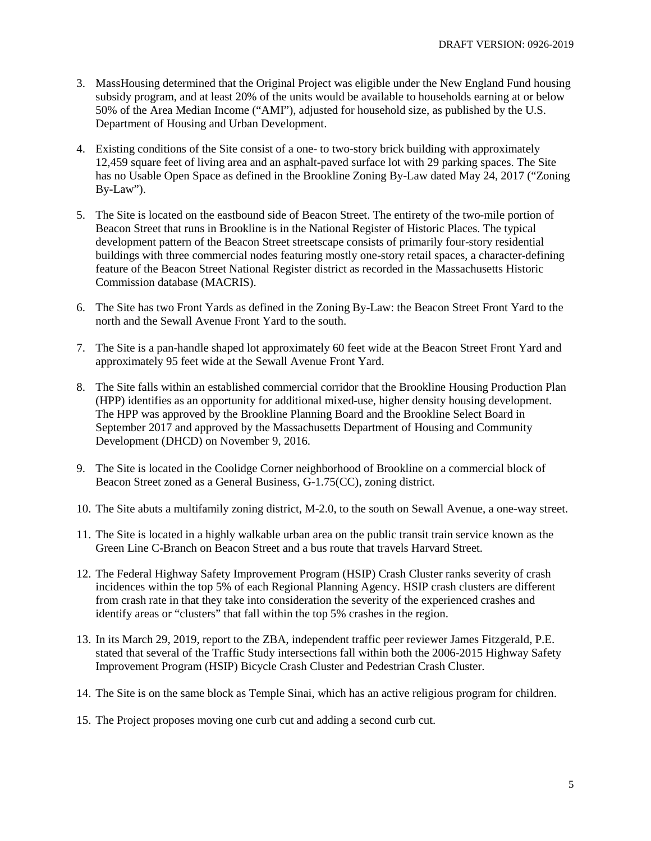- 3. MassHousing determined that the Original Project was eligible under the New England Fund housing subsidy program, and at least 20% of the units would be available to households earning at or below 50% of the Area Median Income ("AMI"), adjusted for household size, as published by the U.S. Department of Housing and Urban Development.
- 4. Existing conditions of the Site consist of a one- to two-story brick building with approximately 12,459 square feet of living area and an asphalt-paved surface lot with 29 parking spaces. The Site has no Usable Open Space as defined in the Brookline Zoning By-Law dated May 24, 2017 ("Zoning By-Law").
- 5. The Site is located on the eastbound side of Beacon Street. The entirety of the two-mile portion of Beacon Street that runs in Brookline is in the National Register of Historic Places. The typical development pattern of the Beacon Street streetscape consists of primarily four-story residential buildings with three commercial nodes featuring mostly one-story retail spaces, a character-defining feature of the Beacon Street National Register district as recorded in the Massachusetts Historic Commission database (MACRIS).
- 6. The Site has two Front Yards as defined in the Zoning By-Law: the Beacon Street Front Yard to the north and the Sewall Avenue Front Yard to the south.
- 7. The Site is a pan-handle shaped lot approximately 60 feet wide at the Beacon Street Front Yard and approximately 95 feet wide at the Sewall Avenue Front Yard.
- 8. The Site falls within an established commercial corridor that the Brookline Housing Production Plan (HPP) identifies as an opportunity for additional mixed-use, higher density housing development. The HPP was approved by the Brookline Planning Board and the Brookline Select Board in September 2017 and approved by the Massachusetts Department of Housing and Community Development (DHCD) on November 9, 2016.
- 9. The Site is located in the Coolidge Corner neighborhood of Brookline on a commercial block of Beacon Street zoned as a General Business, G-1.75(CC), zoning district.
- 10. The Site abuts a multifamily zoning district, M-2.0, to the south on Sewall Avenue, a one-way street.
- 11. The Site is located in a highly walkable urban area on the public transit train service known as the Green Line C-Branch on Beacon Street and a bus route that travels Harvard Street.
- 12. The Federal Highway Safety Improvement Program (HSIP) Crash Cluster ranks severity of crash incidences within the top 5% of each Regional Planning Agency. HSIP crash clusters are different from crash rate in that they take into consideration the severity of the experienced crashes and identify areas or "clusters" that fall within the top 5% crashes in the region.
- 13. In its March 29, 2019, report to the ZBA, independent traffic peer reviewer James Fitzgerald, P.E. stated that several of the Traffic Study intersections fall within both the 2006-2015 Highway Safety Improvement Program (HSIP) Bicycle Crash Cluster and Pedestrian Crash Cluster.
- 14. The Site is on the same block as Temple Sinai, which has an active religious program for children.
- 15. The Project proposes moving one curb cut and adding a second curb cut.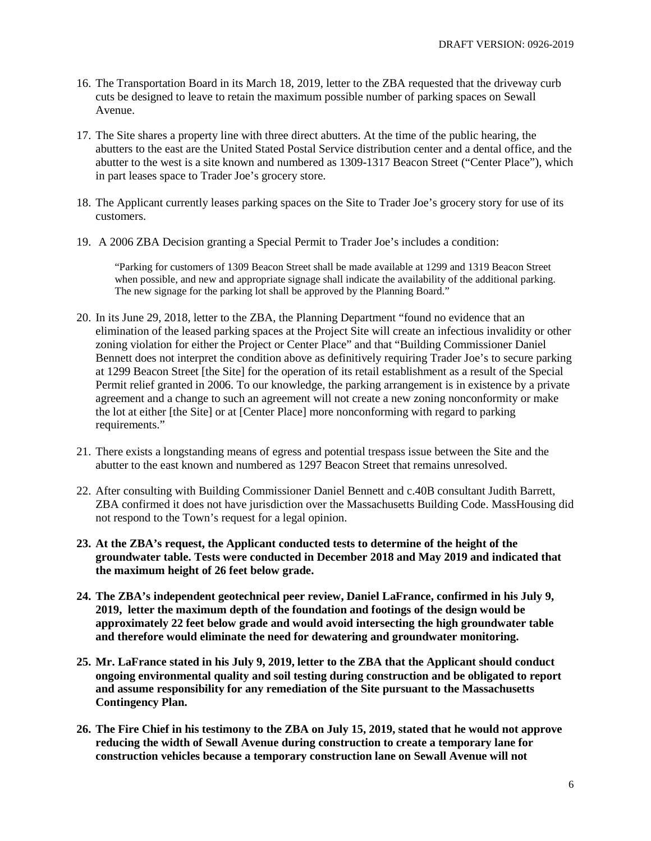- 16. The Transportation Board in its March 18, 2019, letter to the ZBA requested that the driveway curb cuts be designed to leave to retain the maximum possible number of parking spaces on Sewall Avenue.
- 17. The Site shares a property line with three direct abutters. At the time of the public hearing, the abutters to the east are the United Stated Postal Service distribution center and a dental office, and the abutter to the west is a site known and numbered as 1309-1317 Beacon Street ("Center Place"), which in part leases space to Trader Joe's grocery store.
- 18. The Applicant currently leases parking spaces on the Site to Trader Joe's grocery story for use of its customers.
- 19. A 2006 ZBA Decision granting a Special Permit to Trader Joe's includes a condition:

"Parking for customers of 1309 Beacon Street shall be made available at 1299 and 1319 Beacon Street when possible, and new and appropriate signage shall indicate the availability of the additional parking. The new signage for the parking lot shall be approved by the Planning Board."

- 20. In its June 29, 2018, letter to the ZBA, the Planning Department "found no evidence that an elimination of the leased parking spaces at the Project Site will create an infectious invalidity or other zoning violation for either the Project or Center Place" and that "Building Commissioner Daniel Bennett does not interpret the condition above as definitively requiring Trader Joe's to secure parking at 1299 Beacon Street [the Site] for the operation of its retail establishment as a result of the Special Permit relief granted in 2006. To our knowledge, the parking arrangement is in existence by a private agreement and a change to such an agreement will not create a new zoning nonconformity or make the lot at either [the Site] or at [Center Place] more nonconforming with regard to parking requirements."
- 21. There exists a longstanding means of egress and potential trespass issue between the Site and the abutter to the east known and numbered as 1297 Beacon Street that remains unresolved.
- 22. After consulting with Building Commissioner Daniel Bennett and c.40B consultant Judith Barrett, ZBA confirmed it does not have jurisdiction over the Massachusetts Building Code. MassHousing did not respond to the Town's request for a legal opinion.
- **23. At the ZBA's request, the Applicant conducted tests to determine of the height of the groundwater table. Tests were conducted in December 2018 and May 2019 and indicated that the maximum height of 26 feet below grade.**
- **24. The ZBA's independent geotechnical peer review, Daniel LaFrance, confirmed in his July 9, 2019, letter the maximum depth of the foundation and footings of the design would be approximately 22 feet below grade and would avoid intersecting the high groundwater table and therefore would eliminate the need for dewatering and groundwater monitoring.**
- **25. Mr. LaFrance stated in his July 9, 2019, letter to the ZBA that the Applicant should conduct ongoing environmental quality and soil testing during construction and be obligated to report and assume responsibility for any remediation of the Site pursuant to the Massachusetts Contingency Plan.**
- **26. The Fire Chief in his testimony to the ZBA on July 15, 2019, stated that he would not approve reducing the width of Sewall Avenue during construction to create a temporary lane for construction vehicles because a temporary construction lane on Sewall Avenue will not**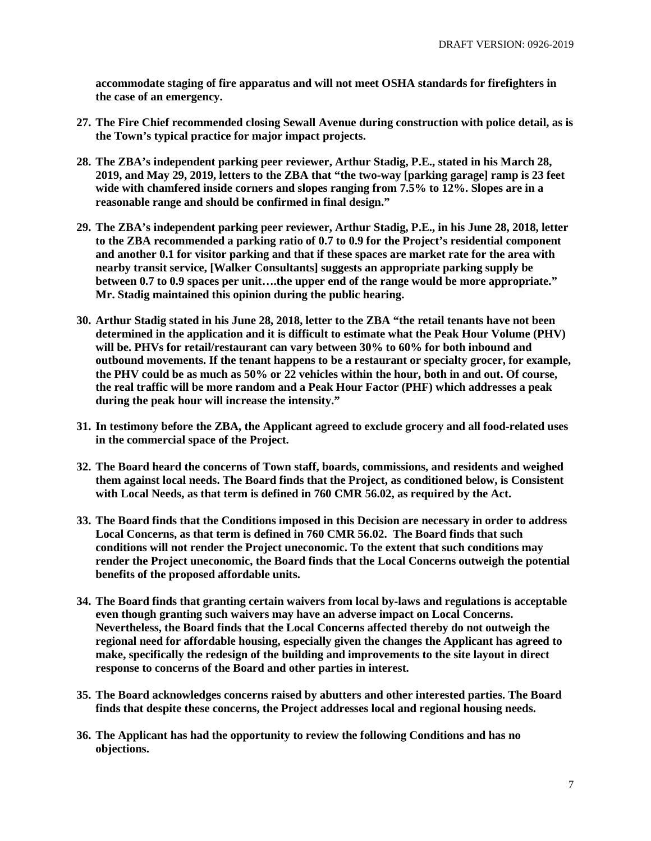**accommodate staging of fire apparatus and will not meet OSHA standards for firefighters in the case of an emergency.** 

- **27. The Fire Chief recommended closing Sewall Avenue during construction with police detail, as is the Town's typical practice for major impact projects.**
- **28. The ZBA's independent parking peer reviewer, Arthur Stadig, P.E., stated in his March 28, 2019, and May 29, 2019, letters to the ZBA that "the two-way [parking garage] ramp is 23 feet wide with chamfered inside corners and slopes ranging from 7.5% to 12%. Slopes are in a reasonable range and should be confirmed in final design."**
- **29. The ZBA's independent parking peer reviewer, Arthur Stadig, P.E., in his June 28, 2018, letter to the ZBA recommended a parking ratio of 0.7 to 0.9 for the Project's residential component and another 0.1 for visitor parking and that if these spaces are market rate for the area with nearby transit service, [Walker Consultants] suggests an appropriate parking supply be between 0.7 to 0.9 spaces per unit….the upper end of the range would be more appropriate." Mr. Stadig maintained this opinion during the public hearing.**
- **30. Arthur Stadig stated in his June 28, 2018, letter to the ZBA "the retail tenants have not been determined in the application and it is difficult to estimate what the Peak Hour Volume (PHV) will be. PHVs for retail/restaurant can vary between 30% to 60% for both inbound and outbound movements. If the tenant happens to be a restaurant or specialty grocer, for example, the PHV could be as much as 50% or 22 vehicles within the hour, both in and out. Of course, the real traffic will be more random and a Peak Hour Factor (PHF) which addresses a peak during the peak hour will increase the intensity."**
- **31. In testimony before the ZBA, the Applicant agreed to exclude grocery and all food-related uses in the commercial space of the Project.**
- **32. The Board heard the concerns of Town staff, boards, commissions, and residents and weighed them against local needs. The Board finds that the Project, as conditioned below, is Consistent with Local Needs, as that term is defined in 760 CMR 56.02, as required by the Act.**
- **33. The Board finds that the Conditions imposed in this Decision are necessary in order to address Local Concerns, as that term is defined in 760 CMR 56.02. The Board finds that such conditions will not render the Project uneconomic. To the extent that such conditions may render the Project uneconomic, the Board finds that the Local Concerns outweigh the potential benefits of the proposed affordable units.**
- **34. The Board finds that granting certain waivers from local by-laws and regulations is acceptable even though granting such waivers may have an adverse impact on Local Concerns. Nevertheless, the Board finds that the Local Concerns affected thereby do not outweigh the regional need for affordable housing, especially given the changes the Applicant has agreed to make, specifically the redesign of the building and improvements to the site layout in direct response to concerns of the Board and other parties in interest.**
- **35. The Board acknowledges concerns raised by abutters and other interested parties. The Board finds that despite these concerns, the Project addresses local and regional housing needs.**
- **36. The Applicant has had the opportunity to review the following Conditions and has no objections.**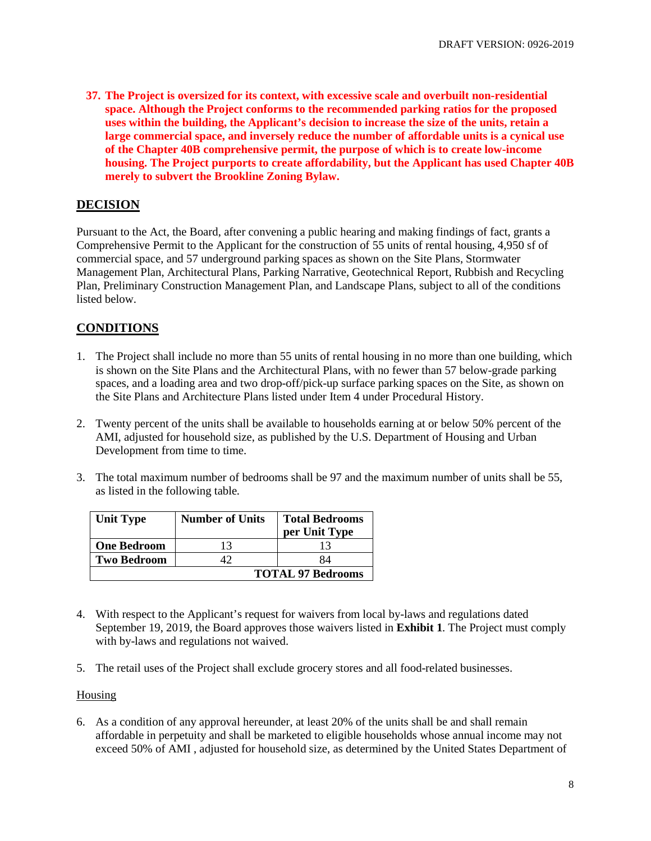**37. The Project is oversized for its context, with excessive scale and overbuilt non-residential space. Although the Project conforms to the recommended parking ratios for the proposed uses within the building, the Applicant's decision to increase the size of the units, retain a large commercial space, and inversely reduce the number of affordable units is a cynical use of the Chapter 40B comprehensive permit, the purpose of which is to create low-income housing. The Project purports to create affordability, but the Applicant has used Chapter 40B merely to subvert the Brookline Zoning Bylaw.** 

# **DECISION**

Pursuant to the Act, the Board, after convening a public hearing and making findings of fact, grants a Comprehensive Permit to the Applicant for the construction of 55 units of rental housing, 4,950 sf of commercial space, and 57 underground parking spaces as shown on the Site Plans, Stormwater Management Plan, Architectural Plans, Parking Narrative, Geotechnical Report, Rubbish and Recycling Plan, Preliminary Construction Management Plan, and Landscape Plans, subject to all of the conditions listed below.

# **CONDITIONS**

- 1. The Project shall include no more than 55 units of rental housing in no more than one building, which is shown on the Site Plans and the Architectural Plans, with no fewer than 57 below-grade parking spaces, and a loading area and two drop-off/pick-up surface parking spaces on the Site, as shown on the Site Plans and Architecture Plans listed under Item 4 under Procedural History.
- 2. Twenty percent of the units shall be available to households earning at or below 50% percent of the AMI, adjusted for household size, as published by the U.S. Department of Housing and Urban Development from time to time.
- 3. The total maximum number of bedrooms shall be 97 and the maximum number of units shall be 55, as listed in the following table*.*

| <b>Unit Type</b>   | <b>Number of Units</b>   | <b>Total Bedrooms</b><br>per Unit Type |  |
|--------------------|--------------------------|----------------------------------------|--|
| <b>One Bedroom</b> | 13                       |                                        |  |
| <b>Two Bedroom</b> |                          | 84                                     |  |
|                    | <b>TOTAL 97 Bedrooms</b> |                                        |  |

- 4. With respect to the Applicant's request for waivers from local by-laws and regulations dated September 19, 2019, the Board approves those waivers listed in **Exhibit 1**. The Project must comply with by-laws and regulations not waived.
- 5. The retail uses of the Project shall exclude grocery stores and all food-related businesses.

#### **Housing**

6. As a condition of any approval hereunder, at least 20% of the units shall be and shall remain affordable in perpetuity and shall be marketed to eligible households whose annual income may not exceed 50% of AMI , adjusted for household size, as determined by the United States Department of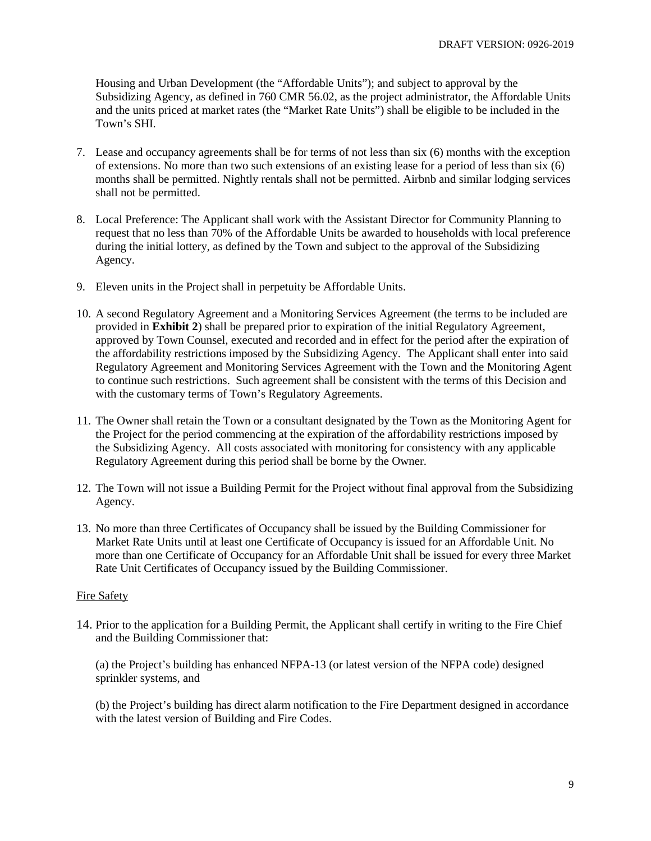Housing and Urban Development (the "Affordable Units"); and subject to approval by the Subsidizing Agency, as defined in 760 CMR 56.02, as the project administrator, the Affordable Units and the units priced at market rates (the "Market Rate Units") shall be eligible to be included in the Town's SHI.

- 7. Lease and occupancy agreements shall be for terms of not less than six (6) months with the exception of extensions. No more than two such extensions of an existing lease for a period of less than six (6) months shall be permitted. Nightly rentals shall not be permitted. Airbnb and similar lodging services shall not be permitted.
- 8. Local Preference: The Applicant shall work with the Assistant Director for Community Planning to request that no less than 70% of the Affordable Units be awarded to households with local preference during the initial lottery, as defined by the Town and subject to the approval of the Subsidizing Agency.
- 9. Eleven units in the Project shall in perpetuity be Affordable Units.
- 10. A second Regulatory Agreement and a Monitoring Services Agreement (the terms to be included are provided in **Exhibit 2**) shall be prepared prior to expiration of the initial Regulatory Agreement, approved by Town Counsel, executed and recorded and in effect for the period after the expiration of the affordability restrictions imposed by the Subsidizing Agency. The Applicant shall enter into said Regulatory Agreement and Monitoring Services Agreement with the Town and the Monitoring Agent to continue such restrictions. Such agreement shall be consistent with the terms of this Decision and with the customary terms of Town's Regulatory Agreements.
- 11. The Owner shall retain the Town or a consultant designated by the Town as the Monitoring Agent for the Project for the period commencing at the expiration of the affordability restrictions imposed by the Subsidizing Agency. All costs associated with monitoring for consistency with any applicable Regulatory Agreement during this period shall be borne by the Owner.
- 12. The Town will not issue a Building Permit for the Project without final approval from the Subsidizing Agency.
- 13. No more than three Certificates of Occupancy shall be issued by the Building Commissioner for Market Rate Units until at least one Certificate of Occupancy is issued for an Affordable Unit. No more than one Certificate of Occupancy for an Affordable Unit shall be issued for every three Market Rate Unit Certificates of Occupancy issued by the Building Commissioner.

#### Fire Safety

14. Prior to the application for a Building Permit, the Applicant shall certify in writing to the Fire Chief and the Building Commissioner that:

(a) the Project's building has enhanced NFPA-13 (or latest version of the NFPA code) designed sprinkler systems, and

(b) the Project's building has direct alarm notification to the Fire Department designed in accordance with the latest version of Building and Fire Codes.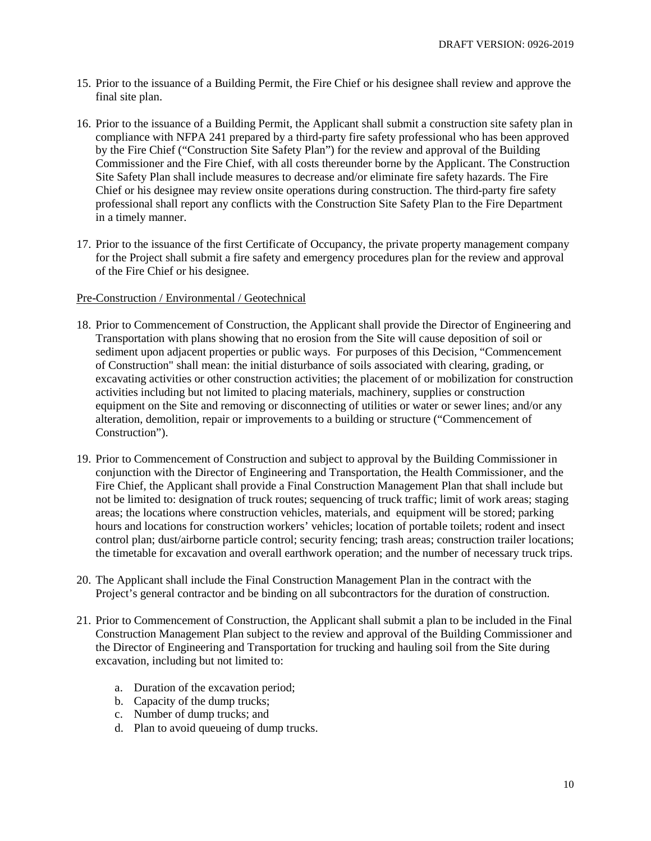- 15. Prior to the issuance of a Building Permit, the Fire Chief or his designee shall review and approve the final site plan.
- 16. Prior to the issuance of a Building Permit, the Applicant shall submit a construction site safety plan in compliance with NFPA 241 prepared by a third-party fire safety professional who has been approved by the Fire Chief ("Construction Site Safety Plan") for the review and approval of the Building Commissioner and the Fire Chief, with all costs thereunder borne by the Applicant. The Construction Site Safety Plan shall include measures to decrease and/or eliminate fire safety hazards. The Fire Chief or his designee may review onsite operations during construction. The third-party fire safety professional shall report any conflicts with the Construction Site Safety Plan to the Fire Department in a timely manner.
- 17. Prior to the issuance of the first Certificate of Occupancy, the private property management company for the Project shall submit a fire safety and emergency procedures plan for the review and approval of the Fire Chief or his designee.

#### Pre-Construction / Environmental / Geotechnical

- 18. Prior to Commencement of Construction, the Applicant shall provide the Director of Engineering and Transportation with plans showing that no erosion from the Site will cause deposition of soil or sediment upon adjacent properties or public ways. For purposes of this Decision, "Commencement of Construction" shall mean: the initial disturbance of soils associated with clearing, grading, or excavating activities or other construction activities; the placement of or mobilization for construction activities including but not limited to placing materials, machinery, supplies or construction equipment on the Site and removing or disconnecting of utilities or water or sewer lines; and/or any alteration, demolition, repair or improvements to a building or structure ("Commencement of Construction").
- 19. Prior to Commencement of Construction and subject to approval by the Building Commissioner in conjunction with the Director of Engineering and Transportation, the Health Commissioner, and the Fire Chief, the Applicant shall provide a Final Construction Management Plan that shall include but not be limited to: designation of truck routes; sequencing of truck traffic; limit of work areas; staging areas; the locations where construction vehicles, materials, and equipment will be stored; parking hours and locations for construction workers' vehicles; location of portable toilets; rodent and insect control plan; dust/airborne particle control; security fencing; trash areas; construction trailer locations; the timetable for excavation and overall earthwork operation; and the number of necessary truck trips.
- 20. The Applicant shall include the Final Construction Management Plan in the contract with the Project's general contractor and be binding on all subcontractors for the duration of construction.
- 21. Prior to Commencement of Construction, the Applicant shall submit a plan to be included in the Final Construction Management Plan subject to the review and approval of the Building Commissioner and the Director of Engineering and Transportation for trucking and hauling soil from the Site during excavation, including but not limited to:
	- a. Duration of the excavation period;
	- b. Capacity of the dump trucks;
	- c. Number of dump trucks; and
	- d. Plan to avoid queueing of dump trucks.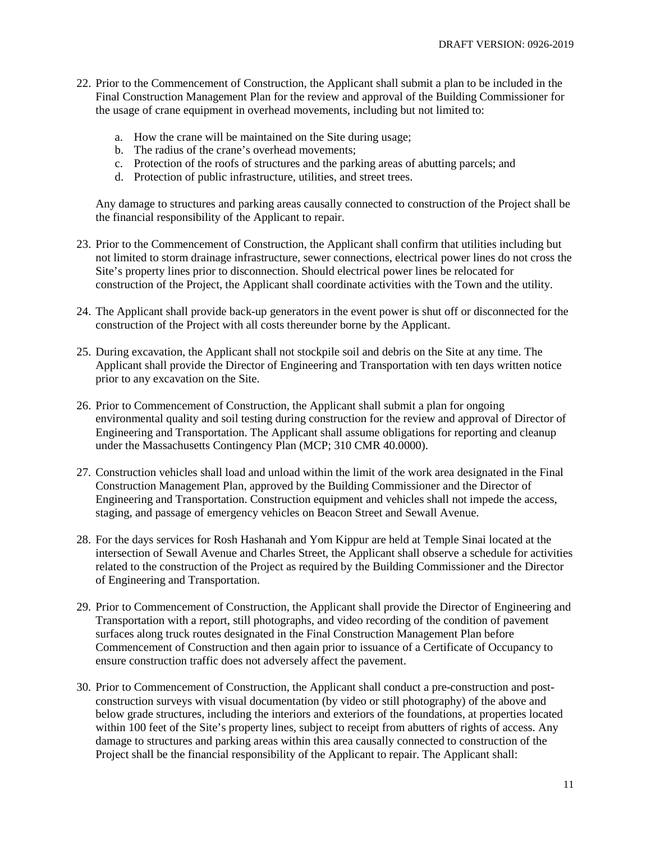- 22. Prior to the Commencement of Construction, the Applicant shall submit a plan to be included in the Final Construction Management Plan for the review and approval of the Building Commissioner for the usage of crane equipment in overhead movements, including but not limited to:
	- a. How the crane will be maintained on the Site during usage;
	- b. The radius of the crane's overhead movements;
	- c. Protection of the roofs of structures and the parking areas of abutting parcels; and
	- d. Protection of public infrastructure, utilities, and street trees.

Any damage to structures and parking areas causally connected to construction of the Project shall be the financial responsibility of the Applicant to repair.

- 23. Prior to the Commencement of Construction, the Applicant shall confirm that utilities including but not limited to storm drainage infrastructure, sewer connections, electrical power lines do not cross the Site's property lines prior to disconnection. Should electrical power lines be relocated for construction of the Project, the Applicant shall coordinate activities with the Town and the utility.
- 24. The Applicant shall provide back-up generators in the event power is shut off or disconnected for the construction of the Project with all costs thereunder borne by the Applicant.
- 25. During excavation, the Applicant shall not stockpile soil and debris on the Site at any time. The Applicant shall provide the Director of Engineering and Transportation with ten days written notice prior to any excavation on the Site.
- 26. Prior to Commencement of Construction, the Applicant shall submit a plan for ongoing environmental quality and soil testing during construction for the review and approval of Director of Engineering and Transportation. The Applicant shall assume obligations for reporting and cleanup under the Massachusetts Contingency Plan (MCP; 310 CMR 40.0000).
- 27. Construction vehicles shall load and unload within the limit of the work area designated in the Final Construction Management Plan, approved by the Building Commissioner and the Director of Engineering and Transportation. Construction equipment and vehicles shall not impede the access, staging, and passage of emergency vehicles on Beacon Street and Sewall Avenue.
- 28. For the days services for Rosh Hashanah and Yom Kippur are held at Temple Sinai located at the intersection of Sewall Avenue and Charles Street, the Applicant shall observe a schedule for activities related to the construction of the Project as required by the Building Commissioner and the Director of Engineering and Transportation.
- 29. Prior to Commencement of Construction, the Applicant shall provide the Director of Engineering and Transportation with a report, still photographs, and video recording of the condition of pavement surfaces along truck routes designated in the Final Construction Management Plan before Commencement of Construction and then again prior to issuance of a Certificate of Occupancy to ensure construction traffic does not adversely affect the pavement.
- 30. Prior to Commencement of Construction, the Applicant shall conduct a pre-construction and postconstruction surveys with visual documentation (by video or still photography) of the above and below grade structures, including the interiors and exteriors of the foundations, at properties located within 100 feet of the Site's property lines, subject to receipt from abutters of rights of access. Any damage to structures and parking areas within this area causally connected to construction of the Project shall be the financial responsibility of the Applicant to repair. The Applicant shall: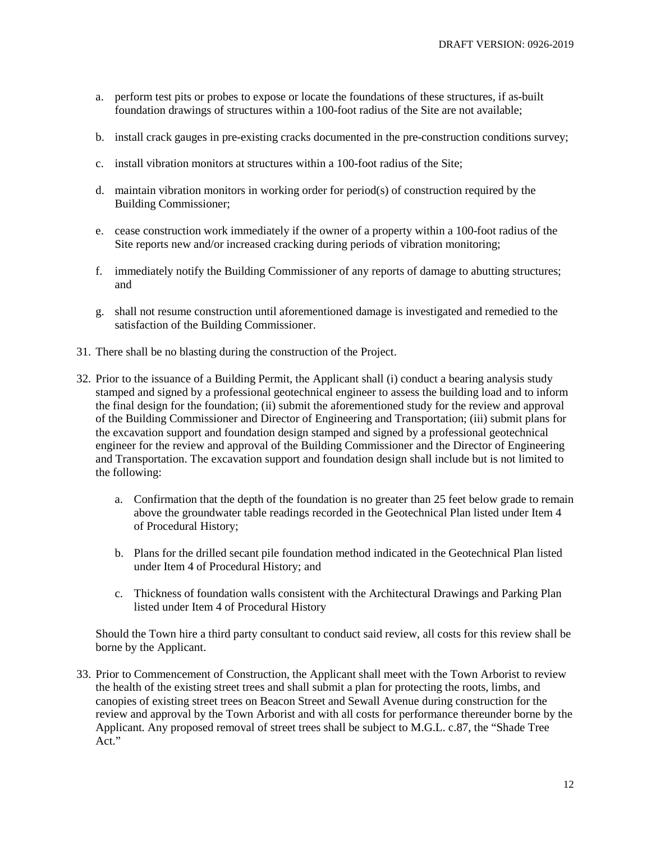- a. perform test pits or probes to expose or locate the foundations of these structures, if as-built foundation drawings of structures within a 100-foot radius of the Site are not available;
- b. install crack gauges in pre-existing cracks documented in the pre-construction conditions survey;
- c. install vibration monitors at structures within a 100-foot radius of the Site;
- d. maintain vibration monitors in working order for period(s) of construction required by the Building Commissioner;
- e. cease construction work immediately if the owner of a property within a 100-foot radius of the Site reports new and/or increased cracking during periods of vibration monitoring;
- f. immediately notify the Building Commissioner of any reports of damage to abutting structures; and
- g. shall not resume construction until aforementioned damage is investigated and remedied to the satisfaction of the Building Commissioner.
- 31. There shall be no blasting during the construction of the Project.
- 32. Prior to the issuance of a Building Permit, the Applicant shall (i) conduct a bearing analysis study stamped and signed by a professional geotechnical engineer to assess the building load and to inform the final design for the foundation; (ii) submit the aforementioned study for the review and approval of the Building Commissioner and Director of Engineering and Transportation; (iii) submit plans for the excavation support and foundation design stamped and signed by a professional geotechnical engineer for the review and approval of the Building Commissioner and the Director of Engineering and Transportation. The excavation support and foundation design shall include but is not limited to the following:
	- a. Confirmation that the depth of the foundation is no greater than 25 feet below grade to remain above the groundwater table readings recorded in the Geotechnical Plan listed under Item 4 of Procedural History;
	- b. Plans for the drilled secant pile foundation method indicated in the Geotechnical Plan listed under Item 4 of Procedural History; and
	- c. Thickness of foundation walls consistent with the Architectural Drawings and Parking Plan listed under Item 4 of Procedural History

Should the Town hire a third party consultant to conduct said review, all costs for this review shall be borne by the Applicant.

33. Prior to Commencement of Construction, the Applicant shall meet with the Town Arborist to review the health of the existing street trees and shall submit a plan for protecting the roots, limbs, and canopies of existing street trees on Beacon Street and Sewall Avenue during construction for the review and approval by the Town Arborist and with all costs for performance thereunder borne by the Applicant. Any proposed removal of street trees shall be subject to M.G.L. c.87, the "Shade Tree Act."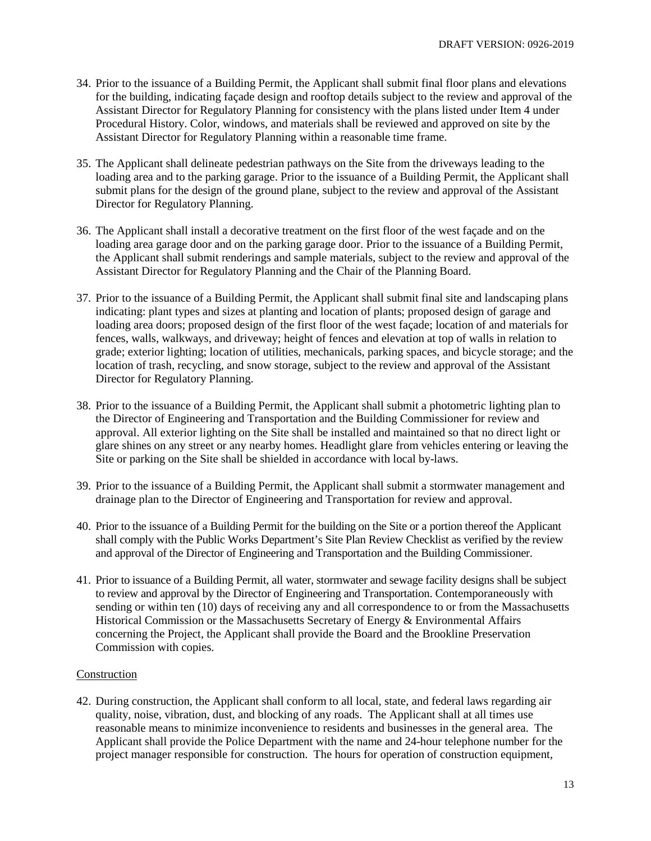- 34. Prior to the issuance of a Building Permit, the Applicant shall submit final floor plans and elevations for the building, indicating façade design and rooftop details subject to the review and approval of the Assistant Director for Regulatory Planning for consistency with the plans listed under Item 4 under Procedural History. Color, windows, and materials shall be reviewed and approved on site by the Assistant Director for Regulatory Planning within a reasonable time frame.
- 35. The Applicant shall delineate pedestrian pathways on the Site from the driveways leading to the loading area and to the parking garage. Prior to the issuance of a Building Permit, the Applicant shall submit plans for the design of the ground plane, subject to the review and approval of the Assistant Director for Regulatory Planning.
- 36. The Applicant shall install a decorative treatment on the first floor of the west façade and on the loading area garage door and on the parking garage door. Prior to the issuance of a Building Permit, the Applicant shall submit renderings and sample materials, subject to the review and approval of the Assistant Director for Regulatory Planning and the Chair of the Planning Board.
- 37. Prior to the issuance of a Building Permit, the Applicant shall submit final site and landscaping plans indicating: plant types and sizes at planting and location of plants; proposed design of garage and loading area doors; proposed design of the first floor of the west façade; location of and materials for fences, walls, walkways, and driveway; height of fences and elevation at top of walls in relation to grade; exterior lighting; location of utilities, mechanicals, parking spaces, and bicycle storage; and the location of trash, recycling, and snow storage, subject to the review and approval of the Assistant Director for Regulatory Planning.
- 38. Prior to the issuance of a Building Permit, the Applicant shall submit a photometric lighting plan to the Director of Engineering and Transportation and the Building Commissioner for review and approval. All exterior lighting on the Site shall be installed and maintained so that no direct light or glare shines on any street or any nearby homes. Headlight glare from vehicles entering or leaving the Site or parking on the Site shall be shielded in accordance with local by-laws.
- 39. Prior to the issuance of a Building Permit, the Applicant shall submit a stormwater management and drainage plan to the Director of Engineering and Transportation for review and approval.
- 40. Prior to the issuance of a Building Permit for the building on the Site or a portion thereof the Applicant shall comply with the Public Works Department's Site Plan Review Checklist as verified by the review and approval of the Director of Engineering and Transportation and the Building Commissioner.
- 41. Prior to issuance of a Building Permit, all water, stormwater and sewage facility designs shall be subject to review and approval by the Director of Engineering and Transportation. Contemporaneously with sending or within ten (10) days of receiving any and all correspondence to or from the Massachusetts Historical Commission or the Massachusetts Secretary of Energy & Environmental Affairs concerning the Project, the Applicant shall provide the Board and the Brookline Preservation Commission with copies.

## Construction

42. During construction, the Applicant shall conform to all local, state, and federal laws regarding air quality, noise, vibration, dust, and blocking of any roads. The Applicant shall at all times use reasonable means to minimize inconvenience to residents and businesses in the general area. The Applicant shall provide the Police Department with the name and 24-hour telephone number for the project manager responsible for construction. The hours for operation of construction equipment,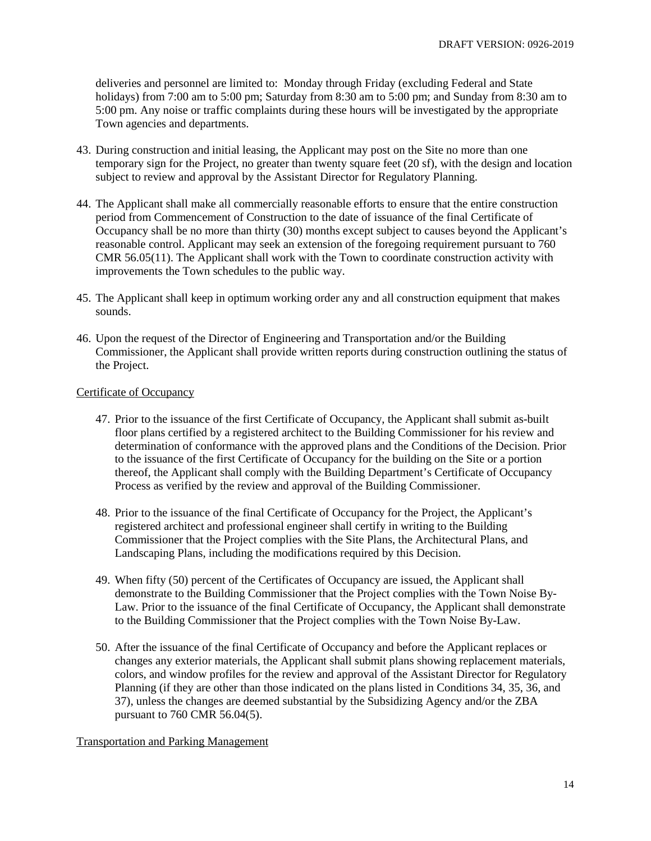deliveries and personnel are limited to: Monday through Friday (excluding Federal and State holidays) from 7:00 am to 5:00 pm; Saturday from 8:30 am to 5:00 pm; and Sunday from 8:30 am to 5:00 pm. Any noise or traffic complaints during these hours will be investigated by the appropriate Town agencies and departments.

- 43. During construction and initial leasing, the Applicant may post on the Site no more than one temporary sign for the Project, no greater than twenty square feet (20 sf), with the design and location subject to review and approval by the Assistant Director for Regulatory Planning.
- 44. The Applicant shall make all commercially reasonable efforts to ensure that the entire construction period from Commencement of Construction to the date of issuance of the final Certificate of Occupancy shall be no more than thirty (30) months except subject to causes beyond the Applicant's reasonable control. Applicant may seek an extension of the foregoing requirement pursuant to 760 CMR 56.05(11). The Applicant shall work with the Town to coordinate construction activity with improvements the Town schedules to the public way.
- 45. The Applicant shall keep in optimum working order any and all construction equipment that makes sounds.
- 46. Upon the request of the Director of Engineering and Transportation and/or the Building Commissioner, the Applicant shall provide written reports during construction outlining the status of the Project.

#### Certificate of Occupancy

- 47. Prior to the issuance of the first Certificate of Occupancy, the Applicant shall submit as-built floor plans certified by a registered architect to the Building Commissioner for his review and determination of conformance with the approved plans and the Conditions of the Decision. Prior to the issuance of the first Certificate of Occupancy for the building on the Site or a portion thereof, the Applicant shall comply with the Building Department's Certificate of Occupancy Process as verified by the review and approval of the Building Commissioner.
- 48. Prior to the issuance of the final Certificate of Occupancy for the Project, the Applicant's registered architect and professional engineer shall certify in writing to the Building Commissioner that the Project complies with the Site Plans, the Architectural Plans, and Landscaping Plans, including the modifications required by this Decision.
- 49. When fifty (50) percent of the Certificates of Occupancy are issued, the Applicant shall demonstrate to the Building Commissioner that the Project complies with the Town Noise By-Law. Prior to the issuance of the final Certificate of Occupancy, the Applicant shall demonstrate to the Building Commissioner that the Project complies with the Town Noise By-Law.
- 50. After the issuance of the final Certificate of Occupancy and before the Applicant replaces or changes any exterior materials, the Applicant shall submit plans showing replacement materials, colors, and window profiles for the review and approval of the Assistant Director for Regulatory Planning (if they are other than those indicated on the plans listed in Conditions 34, 35, 36, and 37), unless the changes are deemed substantial by the Subsidizing Agency and/or the ZBA pursuant to 760 CMR 56.04(5).

## Transportation and Parking Management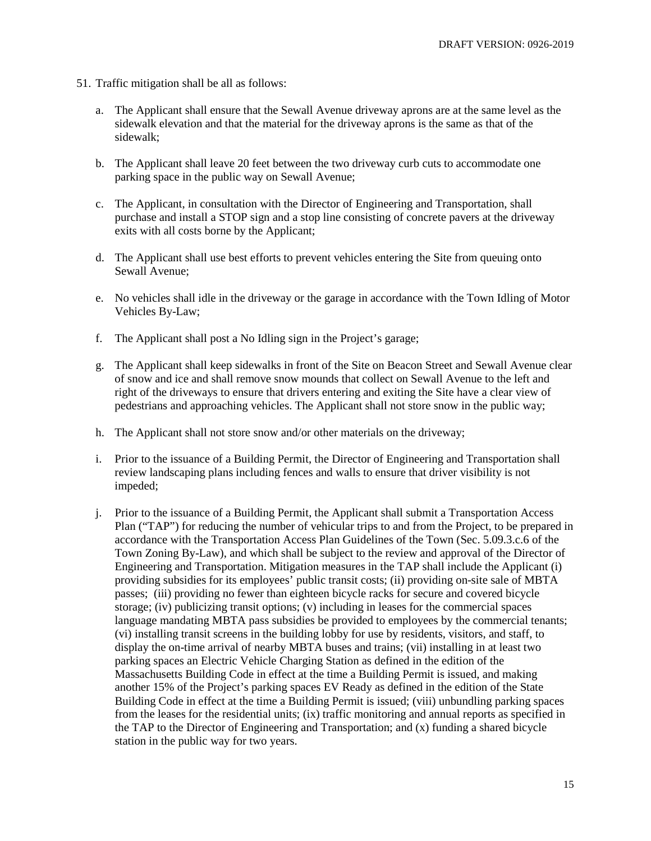- 51. Traffic mitigation shall be all as follows:
	- a. The Applicant shall ensure that the Sewall Avenue driveway aprons are at the same level as the sidewalk elevation and that the material for the driveway aprons is the same as that of the sidewalk;
	- b. The Applicant shall leave 20 feet between the two driveway curb cuts to accommodate one parking space in the public way on Sewall Avenue;
	- c. The Applicant, in consultation with the Director of Engineering and Transportation, shall purchase and install a STOP sign and a stop line consisting of concrete pavers at the driveway exits with all costs borne by the Applicant;
	- d. The Applicant shall use best efforts to prevent vehicles entering the Site from queuing onto Sewall Avenue;
	- e. No vehicles shall idle in the driveway or the garage in accordance with the Town Idling of Motor Vehicles By-Law;
	- f. The Applicant shall post a No Idling sign in the Project's garage;
	- g. The Applicant shall keep sidewalks in front of the Site on Beacon Street and Sewall Avenue clear of snow and ice and shall remove snow mounds that collect on Sewall Avenue to the left and right of the driveways to ensure that drivers entering and exiting the Site have a clear view of pedestrians and approaching vehicles. The Applicant shall not store snow in the public way;
	- h. The Applicant shall not store snow and/or other materials on the driveway;
	- i. Prior to the issuance of a Building Permit, the Director of Engineering and Transportation shall review landscaping plans including fences and walls to ensure that driver visibility is not impeded;
	- j. Prior to the issuance of a Building Permit, the Applicant shall submit a Transportation Access Plan ("TAP") for reducing the number of vehicular trips to and from the Project, to be prepared in accordance with the Transportation Access Plan Guidelines of the Town (Sec. 5.09.3.c.6 of the Town Zoning By-Law), and which shall be subject to the review and approval of the Director of Engineering and Transportation. Mitigation measures in the TAP shall include the Applicant (i) providing subsidies for its employees' public transit costs; (ii) providing on-site sale of MBTA passes; (iii) providing no fewer than eighteen bicycle racks for secure and covered bicycle storage; (iv) publicizing transit options; (v) including in leases for the commercial spaces language mandating MBTA pass subsidies be provided to employees by the commercial tenants; (vi) installing transit screens in the building lobby for use by residents, visitors, and staff, to display the on-time arrival of nearby MBTA buses and trains; (vii) installing in at least two parking spaces an Electric Vehicle Charging Station as defined in the edition of the Massachusetts Building Code in effect at the time a Building Permit is issued, and making another 15% of the Project's parking spaces EV Ready as defined in the edition of the State Building Code in effect at the time a Building Permit is issued; (viii) unbundling parking spaces from the leases for the residential units; (ix) traffic monitoring and annual reports as specified in the TAP to the Director of Engineering and Transportation; and (x) funding a shared bicycle station in the public way for two years.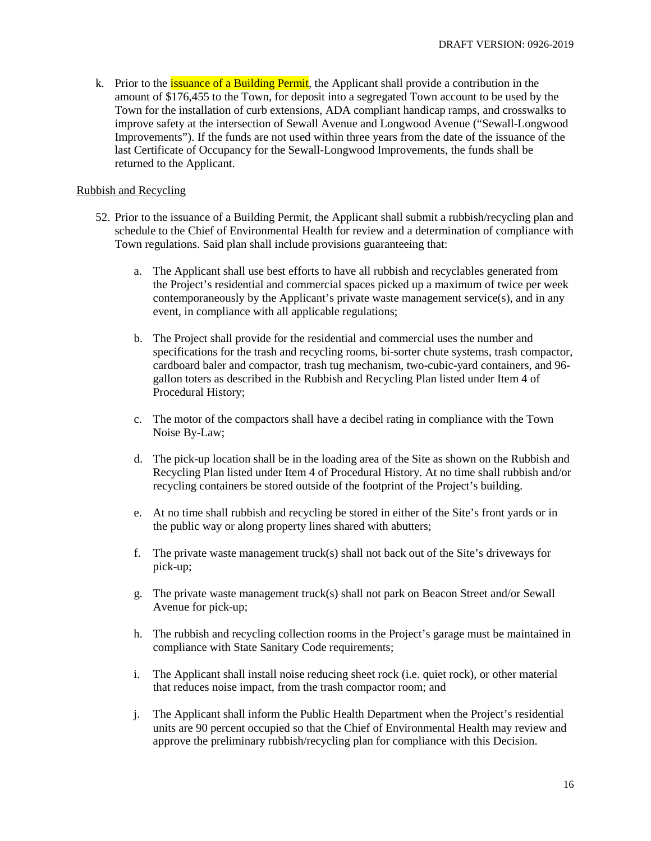k. Prior to the *issuance of a Building Permit*, the Applicant shall provide a contribution in the amount of \$176,455 to the Town, for deposit into a segregated Town account to be used by the Town for the installation of curb extensions, ADA compliant handicap ramps, and crosswalks to improve safety at the intersection of Sewall Avenue and Longwood Avenue ("Sewall-Longwood Improvements"). If the funds are not used within three years from the date of the issuance of the last Certificate of Occupancy for the Sewall-Longwood Improvements, the funds shall be returned to the Applicant.

## Rubbish and Recycling

- 52. Prior to the issuance of a Building Permit, the Applicant shall submit a rubbish/recycling plan and schedule to the Chief of Environmental Health for review and a determination of compliance with Town regulations. Said plan shall include provisions guaranteeing that:
	- a. The Applicant shall use best efforts to have all rubbish and recyclables generated from the Project's residential and commercial spaces picked up a maximum of twice per week contemporaneously by the Applicant's private waste management service(s), and in any event, in compliance with all applicable regulations;
	- b. The Project shall provide for the residential and commercial uses the number and specifications for the trash and recycling rooms, bi-sorter chute systems, trash compactor, cardboard baler and compactor, trash tug mechanism, two-cubic-yard containers, and 96 gallon toters as described in the Rubbish and Recycling Plan listed under Item 4 of Procedural History;
	- c. The motor of the compactors shall have a decibel rating in compliance with the Town Noise By-Law;
	- d. The pick-up location shall be in the loading area of the Site as shown on the Rubbish and Recycling Plan listed under Item 4 of Procedural History. At no time shall rubbish and/or recycling containers be stored outside of the footprint of the Project's building.
	- e. At no time shall rubbish and recycling be stored in either of the Site's front yards or in the public way or along property lines shared with abutters;
	- f. The private waste management truck(s) shall not back out of the Site's driveways for pick-up;
	- g. The private waste management truck(s) shall not park on Beacon Street and/or Sewall Avenue for pick-up;
	- h. The rubbish and recycling collection rooms in the Project's garage must be maintained in compliance with State Sanitary Code requirements;
	- i. The Applicant shall install noise reducing sheet rock (i.e. quiet rock), or other material that reduces noise impact, from the trash compactor room; and
	- j. The Applicant shall inform the Public Health Department when the Project's residential units are 90 percent occupied so that the Chief of Environmental Health may review and approve the preliminary rubbish/recycling plan for compliance with this Decision.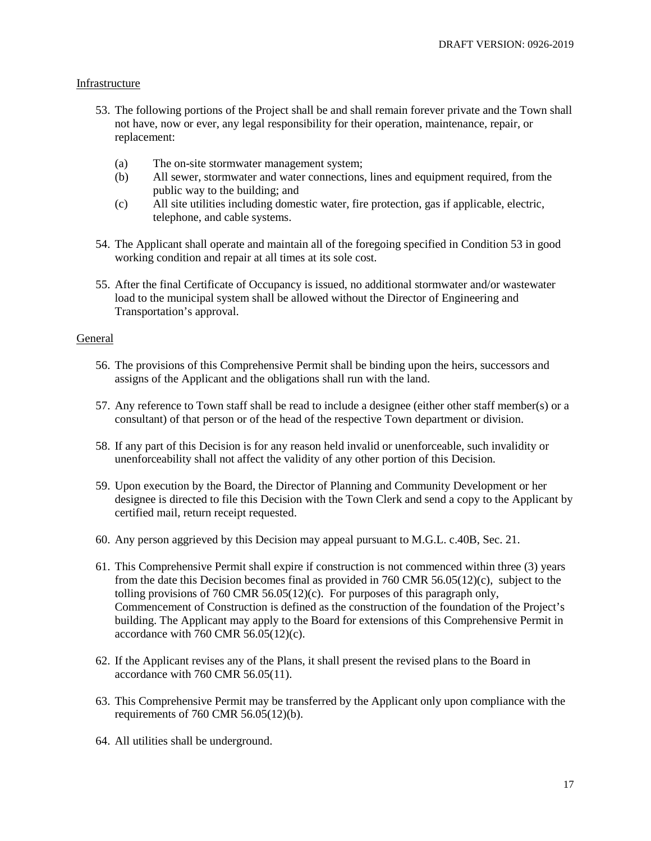#### Infrastructure

- 53. The following portions of the Project shall be and shall remain forever private and the Town shall not have, now or ever, any legal responsibility for their operation, maintenance, repair, or replacement:
	- (a) The on-site stormwater management system;
	- (b) All sewer, stormwater and water connections, lines and equipment required, from the public way to the building; and
	- (c) All site utilities including domestic water, fire protection, gas if applicable, electric, telephone, and cable systems.
- 54. The Applicant shall operate and maintain all of the foregoing specified in Condition 53 in good working condition and repair at all times at its sole cost.
- 55. After the final Certificate of Occupancy is issued, no additional stormwater and/or wastewater load to the municipal system shall be allowed without the Director of Engineering and Transportation's approval.

#### General

- 56. The provisions of this Comprehensive Permit shall be binding upon the heirs, successors and assigns of the Applicant and the obligations shall run with the land.
- 57. Any reference to Town staff shall be read to include a designee (either other staff member(s) or a consultant) of that person or of the head of the respective Town department or division.
- 58. If any part of this Decision is for any reason held invalid or unenforceable, such invalidity or unenforceability shall not affect the validity of any other portion of this Decision.
- 59. Upon execution by the Board, the Director of Planning and Community Development or her designee is directed to file this Decision with the Town Clerk and send a copy to the Applicant by certified mail, return receipt requested.
- 60. Any person aggrieved by this Decision may appeal pursuant to M.G.L. c.40B, Sec. 21.
- 61. This Comprehensive Permit shall expire if construction is not commenced within three (3) years from the date this Decision becomes final as provided in 760 CMR  $56.05(12)(c)$ , subject to the tolling provisions of 760 CMR 56.05(12)(c). For purposes of this paragraph only, Commencement of Construction is defined as the construction of the foundation of the Project's building. The Applicant may apply to the Board for extensions of this Comprehensive Permit in accordance with 760 CMR  $56.05(12)(c)$ .
- 62. If the Applicant revises any of the Plans, it shall present the revised plans to the Board in accordance with 760 CMR 56.05(11).
- 63. This Comprehensive Permit may be transferred by the Applicant only upon compliance with the requirements of 760 CMR 56.05(12)(b).
- 64. All utilities shall be underground.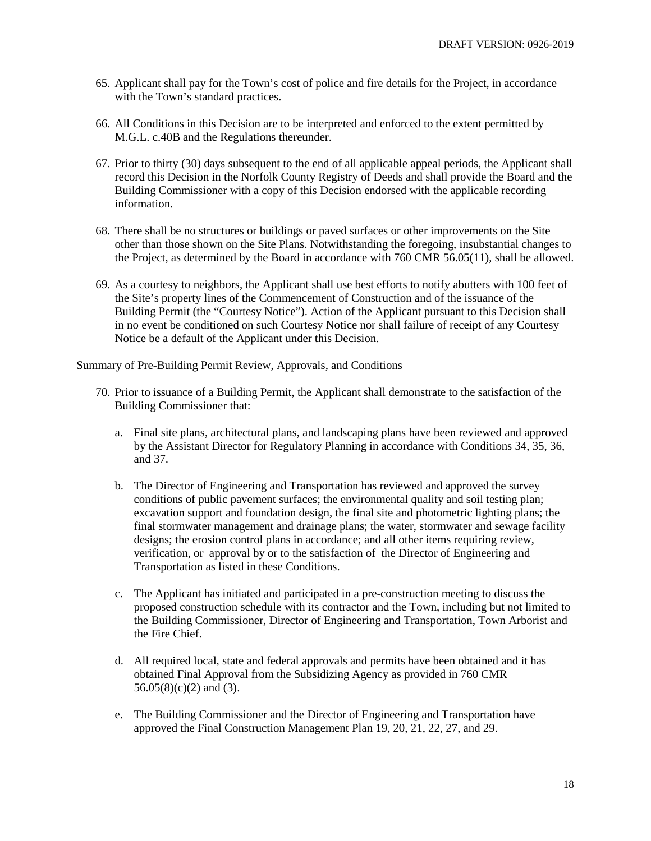- 65. Applicant shall pay for the Town's cost of police and fire details for the Project, in accordance with the Town's standard practices.
- 66. All Conditions in this Decision are to be interpreted and enforced to the extent permitted by M.G.L. c.40B and the Regulations thereunder.
- 67. Prior to thirty (30) days subsequent to the end of all applicable appeal periods, the Applicant shall record this Decision in the Norfolk County Registry of Deeds and shall provide the Board and the Building Commissioner with a copy of this Decision endorsed with the applicable recording information.
- 68. There shall be no structures or buildings or paved surfaces or other improvements on the Site other than those shown on the Site Plans. Notwithstanding the foregoing, insubstantial changes to the Project, as determined by the Board in accordance with 760 CMR 56.05(11), shall be allowed.
- 69. As a courtesy to neighbors, the Applicant shall use best efforts to notify abutters with 100 feet of the Site's property lines of the Commencement of Construction and of the issuance of the Building Permit (the "Courtesy Notice"). Action of the Applicant pursuant to this Decision shall in no event be conditioned on such Courtesy Notice nor shall failure of receipt of any Courtesy Notice be a default of the Applicant under this Decision.

## Summary of Pre-Building Permit Review, Approvals, and Conditions

- 70. Prior to issuance of a Building Permit, the Applicant shall demonstrate to the satisfaction of the Building Commissioner that:
	- a. Final site plans, architectural plans, and landscaping plans have been reviewed and approved by the Assistant Director for Regulatory Planning in accordance with Conditions 34, 35, 36, and 37.
	- b. The Director of Engineering and Transportation has reviewed and approved the survey conditions of public pavement surfaces; the environmental quality and soil testing plan; excavation support and foundation design, the final site and photometric lighting plans; the final stormwater management and drainage plans; the water, stormwater and sewage facility designs; the erosion control plans in accordance; and all other items requiring review, verification, or approval by or to the satisfaction of the Director of Engineering and Transportation as listed in these Conditions.
	- c. The Applicant has initiated and participated in a pre-construction meeting to discuss the proposed construction schedule with its contractor and the Town, including but not limited to the Building Commissioner, Director of Engineering and Transportation, Town Arborist and the Fire Chief.
	- d. All required local, state and federal approvals and permits have been obtained and it has obtained Final Approval from the Subsidizing Agency as provided in 760 CMR 56.05(8)(c)(2) and (3).
	- e. The Building Commissioner and the Director of Engineering and Transportation have approved the Final Construction Management Plan 19, 20, 21, 22, 27, and 29.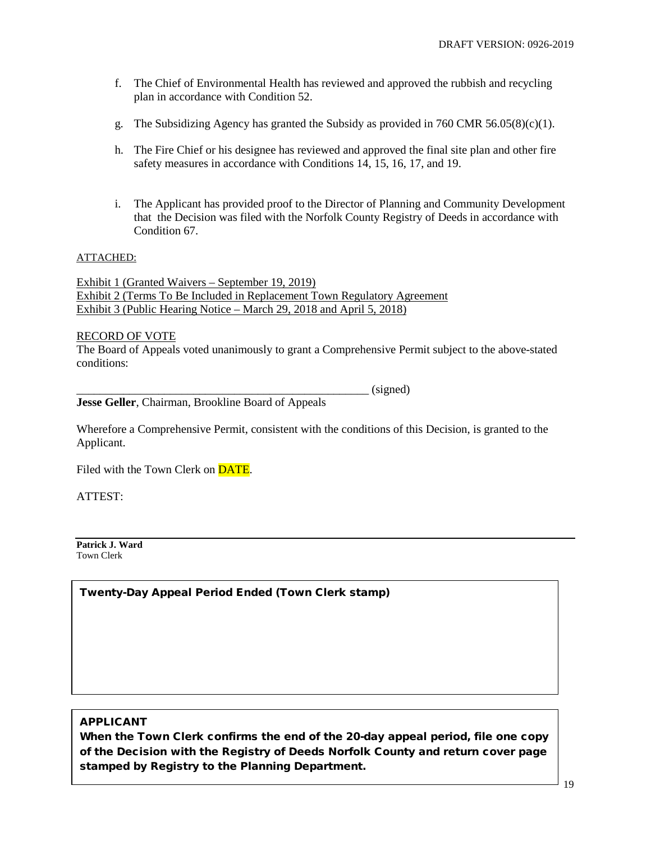- f. The Chief of Environmental Health has reviewed and approved the rubbish and recycling plan in accordance with Condition 52.
- g. The Subsidizing Agency has granted the Subsidy as provided in 760 CMR  $56.05(8)(c)(1)$ .
- h. The Fire Chief or his designee has reviewed and approved the final site plan and other fire safety measures in accordance with Conditions 14, 15, 16, 17, and 19.
- i. The Applicant has provided proof to the Director of Planning and Community Development that the Decision was filed with the Norfolk County Registry of Deeds in accordance with Condition 67.

#### ATTACHED:

Exhibit 1 (Granted Waivers – September 19, 2019) Exhibit 2 (Terms To Be Included in Replacement Town Regulatory Agreement Exhibit 3 (Public Hearing Notice – March 29, 2018 and April 5, 2018)

#### RECORD OF VOTE

The Board of Appeals voted unanimously to grant a Comprehensive Permit subject to the above-stated conditions:

 $(signed)$ **Jesse Geller**, Chairman, Brookline Board of Appeals

Wherefore a Comprehensive Permit, consistent with the conditions of this Decision, is granted to the Applicant.

Filed with the Town Clerk on DATE.

ATTEST:

**Patrick J. Ward** Town Clerk

Twenty-Day Appeal Period Ended (Town Clerk stamp)

## APPLICANT

When the Town Clerk confirms the end of the 20-day appeal period, file one copy of the Decision with the Registry of Deeds Norfolk County and return cover page stamped by Registry to the Planning Department.